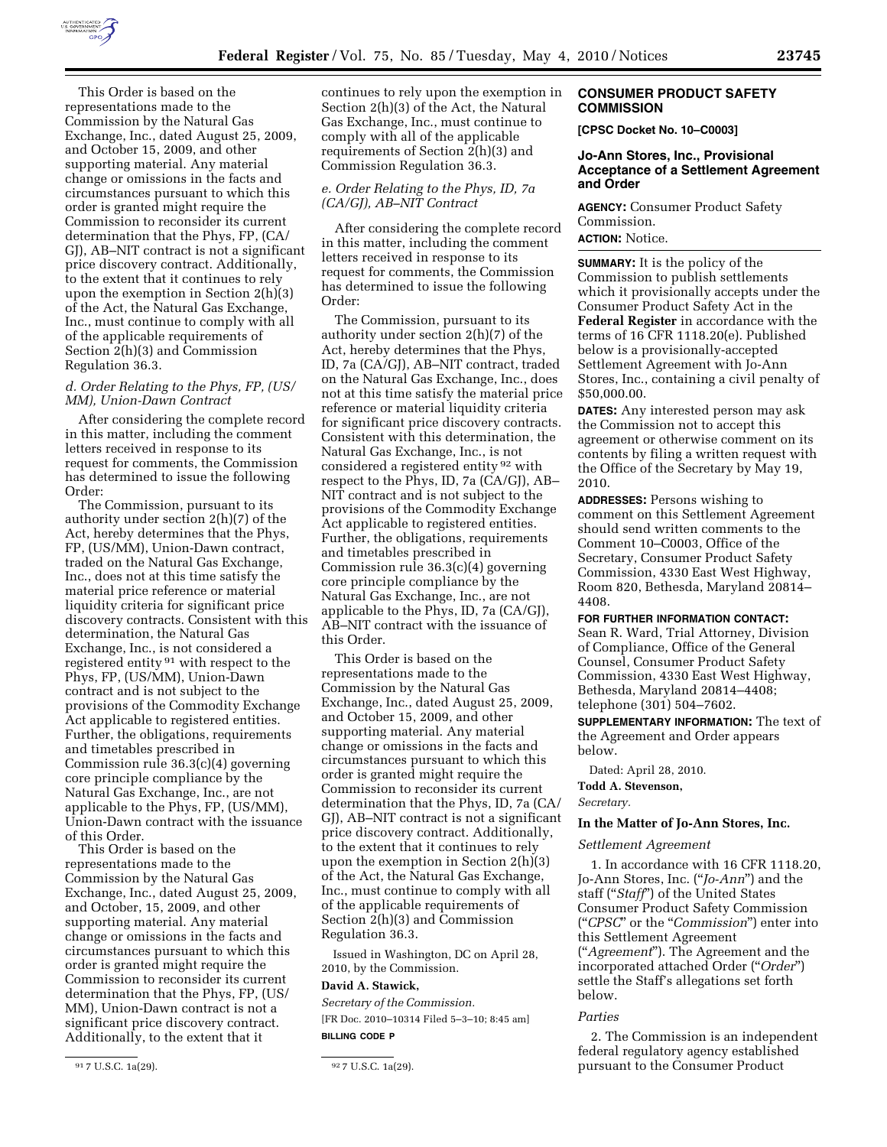

This Order is based on the representations made to the Commission by the Natural Gas Exchange, Inc., dated August 25, 2009, and October 15, 2009, and other supporting material. Any material change or omissions in the facts and circumstances pursuant to which this order is granted might require the Commission to reconsider its current determination that the Phys, FP, (CA/ GJ), AB–NIT contract is not a significant price discovery contract. Additionally, to the extent that it continues to rely upon the exemption in Section 2(h)(3) of the Act, the Natural Gas Exchange, Inc., must continue to comply with all of the applicable requirements of Section 2(h)(3) and Commission Regulation 36.3.

### *d. Order Relating to the Phys, FP, (US/ MM), Union-Dawn Contract*

After considering the complete record in this matter, including the comment letters received in response to its request for comments, the Commission has determined to issue the following Order:

The Commission, pursuant to its authority under section 2(h)(7) of the Act, hereby determines that the Phys, FP, (US/MM), Union-Dawn contract, traded on the Natural Gas Exchange, Inc., does not at this time satisfy the material price reference or material liquidity criteria for significant price discovery contracts. Consistent with this determination, the Natural Gas Exchange, Inc., is not considered a registered entity 91 with respect to the Phys, FP, (US/MM), Union-Dawn contract and is not subject to the provisions of the Commodity Exchange Act applicable to registered entities. Further, the obligations, requirements and timetables prescribed in Commission rule 36.3(c)(4) governing core principle compliance by the Natural Gas Exchange, Inc., are not applicable to the Phys, FP, (US/MM), Union-Dawn contract with the issuance of this Order.

This Order is based on the representations made to the Commission by the Natural Gas Exchange, Inc., dated August 25, 2009, and October, 15, 2009, and other supporting material. Any material change or omissions in the facts and circumstances pursuant to which this order is granted might require the Commission to reconsider its current determination that the Phys, FP, (US/ MM), Union-Dawn contract is not a significant price discovery contract. Additionally, to the extent that it

continues to rely upon the exemption in Section 2(h)(3) of the Act, the Natural Gas Exchange, Inc., must continue to comply with all of the applicable requirements of Section 2(h)(3) and Commission Regulation 36.3.

# *e. Order Relating to the Phys, ID, 7a (CA/GJ), AB–NIT Contract*

After considering the complete record in this matter, including the comment letters received in response to its request for comments, the Commission has determined to issue the following Order:

The Commission, pursuant to its authority under section 2(h)(7) of the Act, hereby determines that the Phys, ID, 7a (CA/GJ), AB–NIT contract, traded on the Natural Gas Exchange, Inc., does not at this time satisfy the material price reference or material liquidity criteria for significant price discovery contracts. Consistent with this determination, the Natural Gas Exchange, Inc., is not considered a registered entity 92 with respect to the Phys, ID, 7a (CA/GJ), AB– NIT contract and is not subject to the provisions of the Commodity Exchange Act applicable to registered entities. Further, the obligations, requirements and timetables prescribed in Commission rule 36.3(c)(4) governing core principle compliance by the Natural Gas Exchange, Inc., are not applicable to the Phys, ID, 7a (CA/GJ), AB–NIT contract with the issuance of this Order.

This Order is based on the representations made to the Commission by the Natural Gas Exchange, Inc., dated August 25, 2009, and October 15, 2009, and other supporting material. Any material change or omissions in the facts and circumstances pursuant to which this order is granted might require the Commission to reconsider its current determination that the Phys, ID, 7a (CA/ GJ), AB–NIT contract is not a significant price discovery contract. Additionally, to the extent that it continues to rely upon the exemption in Section 2(h)(3) of the Act, the Natural Gas Exchange, Inc., must continue to comply with all of the applicable requirements of Section 2(h)(3) and Commission Regulation 36.3.

Issued in Washington, DC on April 28, 2010, by the Commission.

# **David A. Stawick,**

*Secretary of the Commission.*  [FR Doc. 2010–10314 Filed 5–3–10; 8:45 am] **BILLING CODE P** 

# **CONSUMER PRODUCT SAFETY COMMISSION**

**[CPSC Docket No. 10–C0003]** 

### **Jo-Ann Stores, Inc., Provisional Acceptance of a Settlement Agreement and Order**

**AGENCY:** Consumer Product Safety Commission.

# **ACTION:** Notice.

**SUMMARY:** It is the policy of the Commission to publish settlements which it provisionally accepts under the Consumer Product Safety Act in the **Federal Register** in accordance with the terms of 16 CFR 1118.20(e). Published below is a provisionally-accepted Settlement Agreement with Jo-Ann Stores, Inc., containing a civil penalty of \$50,000.00.

**DATES:** Any interested person may ask the Commission not to accept this agreement or otherwise comment on its contents by filing a written request with the Office of the Secretary by May 19, 2010.

**ADDRESSES:** Persons wishing to comment on this Settlement Agreement should send written comments to the Comment 10–C0003, Office of the Secretary, Consumer Product Safety Commission, 4330 East West Highway, Room 820, Bethesda, Maryland 20814– 4408.

**FOR FURTHER INFORMATION CONTACT:** 

Sean R. Ward, Trial Attorney, Division of Compliance, Office of the General Counsel, Consumer Product Safety Commission, 4330 East West Highway, Bethesda, Maryland 20814–4408; telephone (301) 504–7602.

**SUPPLEMENTARY INFORMATION:** The text of the Agreement and Order appears below.

Dated: April 28, 2010.

**Todd A. Stevenson,**  *Secretary.* 

#### **In the Matter of Jo-Ann Stores, Inc.**

#### *Settlement Agreement*

1. In accordance with 16 CFR 1118.20, Jo-Ann Stores, Inc. (''*Jo-Ann*'') and the staff (''*Staff*'') of the United States Consumer Product Safety Commission (''*CPSC*'' or the ''*Commission*'') enter into this Settlement Agreement (''*Agreement*''). The Agreement and the incorporated attached Order (''*Order*'') settle the Staff's allegations set forth below.

### *Parties*

2. The Commission is an independent federal regulatory agency established pursuant to the Consumer Product

<sup>91</sup> 7 U.S.C. 1a(29). 92 7 U.S.C. 1a(29).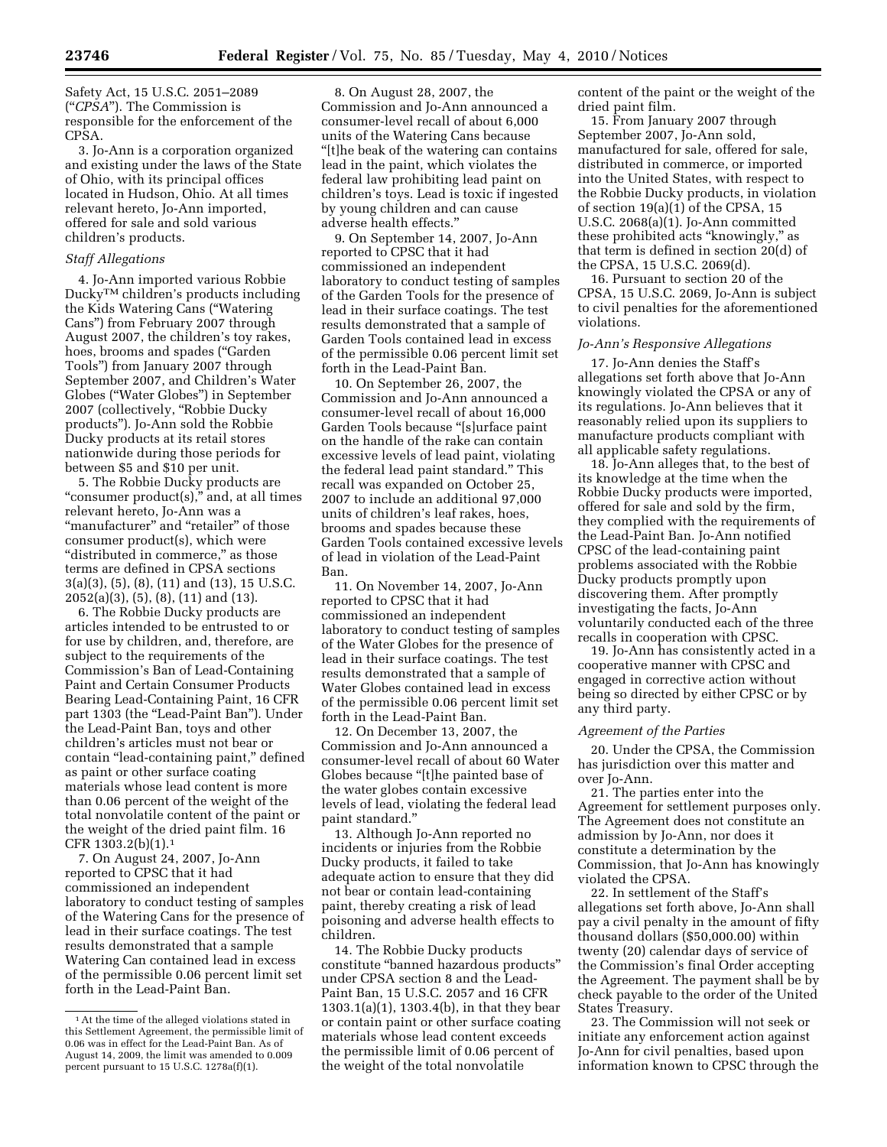Safety Act, 15 U.S.C. 2051–2089 (''*CPSA*''). The Commission is responsible for the enforcement of the CPSA.

3. Jo-Ann is a corporation organized and existing under the laws of the State of Ohio, with its principal offices located in Hudson, Ohio. At all times relevant hereto, Jo-Ann imported, offered for sale and sold various children's products.

# *Staff Allegations*

4. Jo-Ann imported various Robbie DuckyTM children's products including the Kids Watering Cans (''Watering Cans'') from February 2007 through August 2007, the children's toy rakes, hoes, brooms and spades (''Garden Tools'') from January 2007 through September 2007, and Children's Water Globes (''Water Globes'') in September 2007 (collectively, ''Robbie Ducky products''). Jo-Ann sold the Robbie Ducky products at its retail stores nationwide during those periods for between \$5 and \$10 per unit.

5. The Robbie Ducky products are "consumer product(s)," and, at all times relevant hereto, Jo-Ann was a "manufacturer" and "retailer" of those consumer product(s), which were ''distributed in commerce,'' as those terms are defined in CPSA sections 3(a)(3), (5), (8), (11) and (13), 15 U.S.C. 2052(a)(3), (5), (8), (11) and (13).

6. The Robbie Ducky products are articles intended to be entrusted to or for use by children, and, therefore, are subject to the requirements of the Commission's Ban of Lead-Containing Paint and Certain Consumer Products Bearing Lead-Containing Paint, 16 CFR part 1303 (the "Lead-Paint Ban"). Under the Lead-Paint Ban, toys and other children's articles must not bear or contain "lead-containing paint," defined as paint or other surface coating materials whose lead content is more than 0.06 percent of the weight of the total nonvolatile content of the paint or the weight of the dried paint film. 16 CFR 1303.2(b)(1).1

7. On August 24, 2007, Jo-Ann reported to CPSC that it had commissioned an independent laboratory to conduct testing of samples of the Watering Cans for the presence of lead in their surface coatings. The test results demonstrated that a sample Watering Can contained lead in excess of the permissible 0.06 percent limit set forth in the Lead-Paint Ban.

8. On August 28, 2007, the Commission and Jo-Ann announced a consumer-level recall of about 6,000 units of the Watering Cans because ''[t]he beak of the watering can contains lead in the paint, which violates the federal law prohibiting lead paint on children's toys. Lead is toxic if ingested by young children and can cause adverse health effects.''

9. On September 14, 2007, Jo-Ann reported to CPSC that it had commissioned an independent laboratory to conduct testing of samples of the Garden Tools for the presence of lead in their surface coatings. The test results demonstrated that a sample of Garden Tools contained lead in excess of the permissible 0.06 percent limit set forth in the Lead-Paint Ban.

10. On September 26, 2007, the Commission and Jo-Ann announced a consumer-level recall of about 16,000 Garden Tools because ''[s]urface paint on the handle of the rake can contain excessive levels of lead paint, violating the federal lead paint standard.'' This recall was expanded on October 25, 2007 to include an additional 97,000 units of children's leaf rakes, hoes, brooms and spades because these Garden Tools contained excessive levels of lead in violation of the Lead-Paint Ban.

11. On November 14, 2007, Jo-Ann reported to CPSC that it had commissioned an independent laboratory to conduct testing of samples of the Water Globes for the presence of lead in their surface coatings. The test results demonstrated that a sample of Water Globes contained lead in excess of the permissible 0.06 percent limit set forth in the Lead-Paint Ban.

12. On December 13, 2007, the Commission and Jo-Ann announced a consumer-level recall of about 60 Water Globes because ''[t]he painted base of the water globes contain excessive levels of lead, violating the federal lead paint standard.''

13. Although Jo-Ann reported no incidents or injuries from the Robbie Ducky products, it failed to take adequate action to ensure that they did not bear or contain lead-containing paint, thereby creating a risk of lead poisoning and adverse health effects to children.

14. The Robbie Ducky products constitute ''banned hazardous products'' under CPSA section 8 and the Lead-Paint Ban, 15 U.S.C. 2057 and 16 CFR 1303.1(a)(1), 1303.4(b), in that they bear or contain paint or other surface coating materials whose lead content exceeds the permissible limit of 0.06 percent of the weight of the total nonvolatile

content of the paint or the weight of the dried paint film.

15. From January 2007 through September 2007, Jo-Ann sold, manufactured for sale, offered for sale, distributed in commerce, or imported into the United States, with respect to the Robbie Ducky products, in violation of section 19(a)(1) of the CPSA, 15 U.S.C. 2068(a)(1). Jo-Ann committed these prohibited acts ''knowingly,'' as that term is defined in section 20(d) of the CPSA, 15 U.S.C. 2069(d).

16. Pursuant to section 20 of the CPSA, 15 U.S.C. 2069, Jo-Ann is subject to civil penalties for the aforementioned violations.

#### *Jo-Ann's Responsive Allegations*

17. Jo-Ann denies the Staff's allegations set forth above that Jo-Ann knowingly violated the CPSA or any of its regulations. Jo-Ann believes that it reasonably relied upon its suppliers to manufacture products compliant with all applicable safety regulations.

18. Jo-Ann alleges that, to the best of its knowledge at the time when the Robbie Ducky products were imported, offered for sale and sold by the firm, they complied with the requirements of the Lead-Paint Ban. Jo-Ann notified CPSC of the lead-containing paint problems associated with the Robbie Ducky products promptly upon discovering them. After promptly investigating the facts, Jo-Ann voluntarily conducted each of the three recalls in cooperation with CPSC.

19. Jo-Ann has consistently acted in a cooperative manner with CPSC and engaged in corrective action without being so directed by either CPSC or by any third party.

#### *Agreement of the Parties*

20. Under the CPSA, the Commission has jurisdiction over this matter and over Jo-Ann.

21. The parties enter into the Agreement for settlement purposes only. The Agreement does not constitute an admission by Jo-Ann, nor does it constitute a determination by the Commission, that Jo-Ann has knowingly violated the CPSA.

22. In settlement of the Staff's allegations set forth above, Jo-Ann shall pay a civil penalty in the amount of fifty thousand dollars (\$50,000.00) within twenty (20) calendar days of service of the Commission's final Order accepting the Agreement. The payment shall be by check payable to the order of the United States Treasury.

23. The Commission will not seek or initiate any enforcement action against Jo-Ann for civil penalties, based upon information known to CPSC through the

<sup>1</sup>At the time of the alleged violations stated in this Settlement Agreement, the permissible limit of 0.06 was in effect for the Lead-Paint Ban. As of August 14, 2009, the limit was amended to 0.009 percent pursuant to 15 U.S.C. 1278a(f)(1).